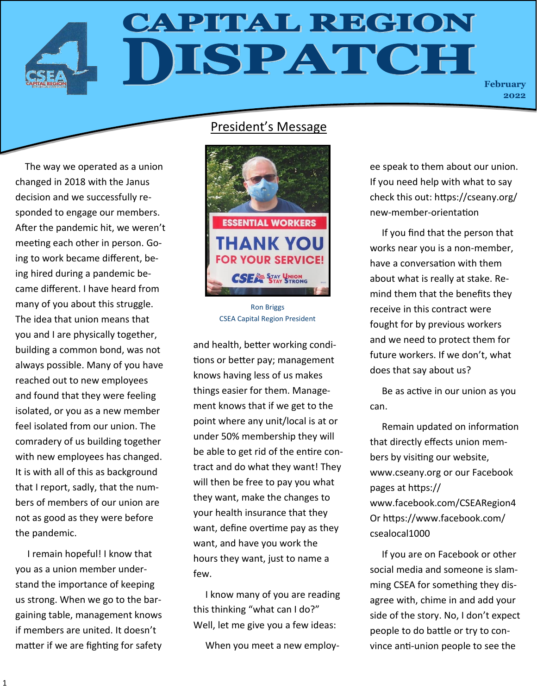## **CAPITAL REGION** ISPATCH

**February 2022**

## President's Message



CSEA Capital Region President

and health, better working conditions or better pay; management knows having less of us makes things easier for them. Management knows that if we get to the point where any unit/local is at or under 50% membership they will be able to get rid of the entire contract and do what they want! They will then be free to pay you what they want, make the changes to your health insurance that they want, define overtime pay as they want, and have you work the hours they want, just to name a few.

 I know many of you are reading this thinking "what can I do?" Well, let me give you a few ideas:

When you meet a new employ-

ee speak to them about our union. If you need help with what to say check this out: https://cseany.org/ new-member-orientation

 If you find that the person that works near you is a non-member, have a conversation with them about what is really at stake. Remind them that the benefits they receive in this contract were fought for by previous workers and we need to protect them for future workers. If we don't, what does that say about us?

 Be as active in our union as you can.

 Remain updated on information that directly effects union members by visiting our website, www.cseany.org or our Facebook pages at https:// www.facebook.com/CSEARegion4 Or https://www.facebook.com/ csealocal1000

 If you are on Facebook or other social media and someone is slamming CSEA for something they disagree with, chime in and add your side of the story. No, I don't expect people to do battle or try to convince anti-union people to see the

changed in 2018 with the Janus decision and we successfully responded to engage our members. After the pandemic hit, we weren't meeting each other in person. Going to work became different, being hired during a pandemic became different. I have heard from many of you about this struggle. The idea that union means that you and I are physically together, building a common bond, was not always possible. Many of you have reached out to new employees and found that they were feeling isolated, or you as a new member feel isolated from our union. The comradery of us building together with new employees has changed. It is with all of this as background that I report, sadly, that the numbers of members of our union are not as good as they were before the pandemic.

The way we operated as a union

 I remain hopeful! I know that you as a union member understand the importance of keeping us strong. When we go to the bargaining table, management knows if members are united. It doesn't matter if we are fighting for safety